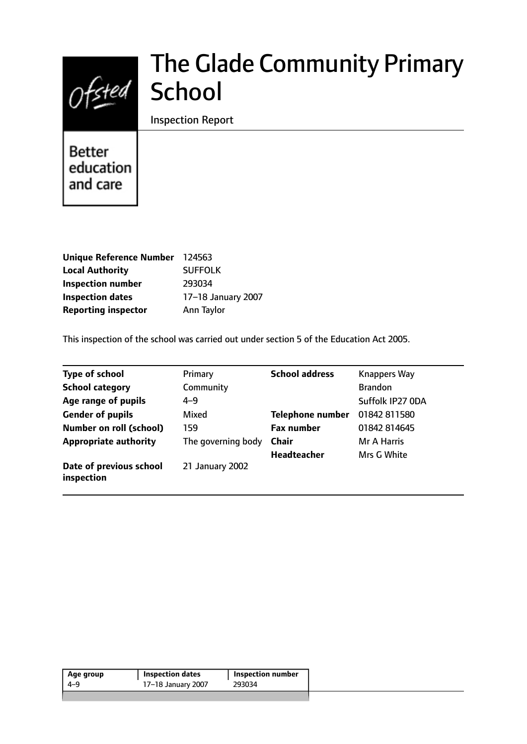

# The Glade Community Primary School

Inspection Report

**Better** education and care

| <b>Unique Reference Number</b> | 124563             |
|--------------------------------|--------------------|
| <b>Local Authority</b>         | <b>SUFFOLK</b>     |
| <b>Inspection number</b>       | 293034             |
| <b>Inspection dates</b>        | 17-18 January 2007 |
| <b>Reporting inspector</b>     | Ann Taylor         |

This inspection of the school was carried out under section 5 of the Education Act 2005.

| <b>Type of school</b>                 | Primary            | <b>School address</b>   | <b>Knappers Way</b> |
|---------------------------------------|--------------------|-------------------------|---------------------|
| <b>School category</b>                | Community          |                         | <b>Brandon</b>      |
| Age range of pupils                   | $4 - 9$            |                         | Suffolk IP27 ODA    |
| <b>Gender of pupils</b>               | Mixed              | <b>Telephone number</b> | 01842 811580        |
| <b>Number on roll (school)</b>        | 159                | <b>Fax number</b>       | 01842 814645        |
| <b>Appropriate authority</b>          | The governing body | <b>Chair</b>            | Mr A Harris         |
|                                       |                    | <b>Headteacher</b>      | Mrs G White         |
| Date of previous school<br>inspection | 21 January 2002    |                         |                     |

| Age group | <b>Inspection dates</b> | Inspection number |
|-----------|-------------------------|-------------------|
| 4-9       | 17-18 January 2007      | 293034            |
|           |                         |                   |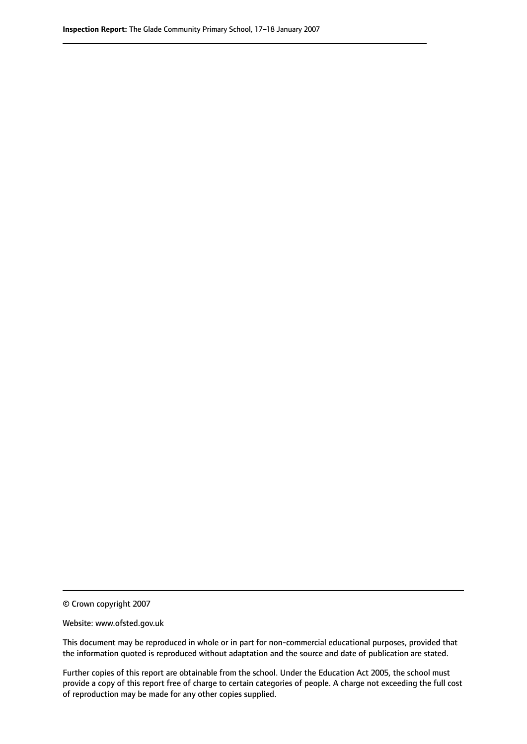© Crown copyright 2007

Website: www.ofsted.gov.uk

This document may be reproduced in whole or in part for non-commercial educational purposes, provided that the information quoted is reproduced without adaptation and the source and date of publication are stated.

Further copies of this report are obtainable from the school. Under the Education Act 2005, the school must provide a copy of this report free of charge to certain categories of people. A charge not exceeding the full cost of reproduction may be made for any other copies supplied.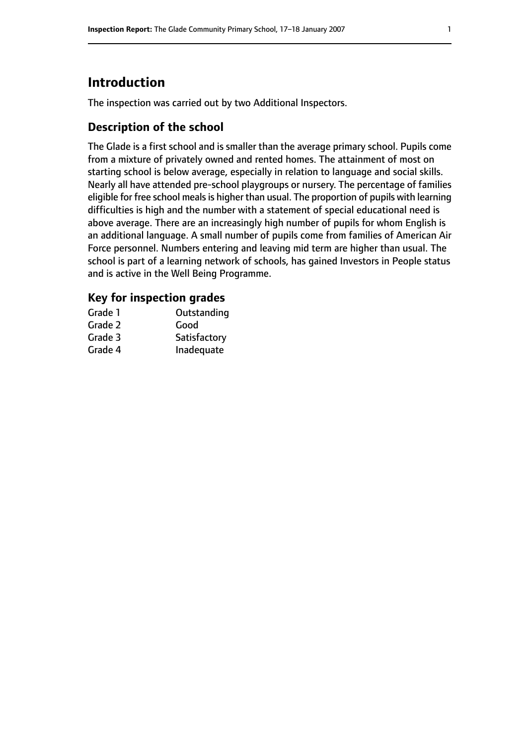# **Introduction**

The inspection was carried out by two Additional Inspectors.

## **Description of the school**

The Glade is a first school and is smaller than the average primary school. Pupils come from a mixture of privately owned and rented homes. The attainment of most on starting school is below average, especially in relation to language and social skills. Nearly all have attended pre-school playgroups or nursery. The percentage of families eligible for free school meals is higher than usual. The proportion of pupils with learning difficulties is high and the number with a statement of special educational need is above average. There are an increasingly high number of pupils for whom English is an additional language. A small number of pupils come from families of American Air Force personnel. Numbers entering and leaving mid term are higher than usual. The school is part of a learning network of schools, has gained Investors in People status and is active in the Well Being Programme.

#### **Key for inspection grades**

| Grade 1 | Outstanding  |
|---------|--------------|
| Grade 2 | Good         |
| Grade 3 | Satisfactory |
| Grade 4 | Inadequate   |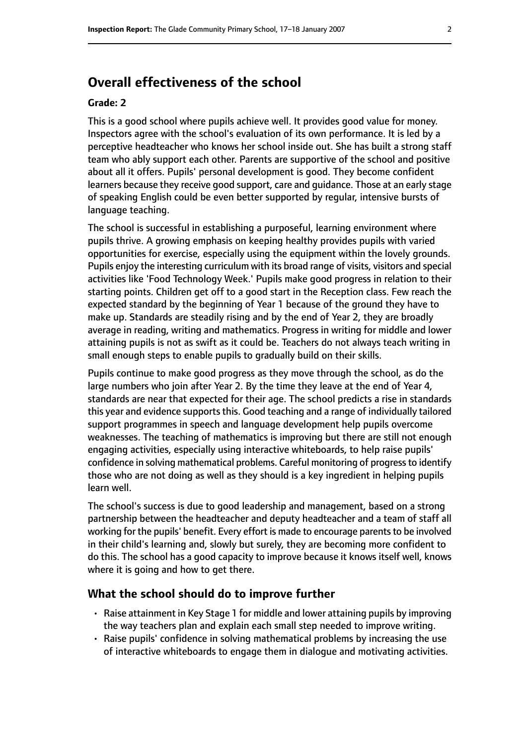## **Overall effectiveness of the school**

#### **Grade: 2**

This is a good school where pupils achieve well. It provides good value for money. Inspectors agree with the school's evaluation of its own performance. It is led by a perceptive headteacher who knows her school inside out. She has built a strong staff team who ably support each other. Parents are supportive of the school and positive about all it offers. Pupils' personal development is good. They become confident learners because they receive good support, care and guidance. Those at an early stage of speaking English could be even better supported by regular, intensive bursts of language teaching.

The school is successful in establishing a purposeful, learning environment where pupils thrive. A growing emphasis on keeping healthy provides pupils with varied opportunities for exercise, especially using the equipment within the lovely grounds. Pupils enjoy the interesting curriculum with its broad range of visits, visitors and special activities like 'Food Technology Week.' Pupils make good progress in relation to their starting points. Children get off to a good start in the Reception class. Few reach the expected standard by the beginning of Year 1 because of the ground they have to make up. Standards are steadily rising and by the end of Year 2, they are broadly average in reading, writing and mathematics. Progress in writing for middle and lower attaining pupils is not as swift as it could be. Teachers do not always teach writing in small enough steps to enable pupils to gradually build on their skills.

Pupils continue to make good progress as they move through the school, as do the large numbers who join after Year 2. By the time they leave at the end of Year 4, standards are near that expected for their age. The school predicts a rise in standards this year and evidence supports this. Good teaching and a range of individually tailored support programmes in speech and language development help pupils overcome weaknesses. The teaching of mathematics is improving but there are still not enough engaging activities, especially using interactive whiteboards, to help raise pupils' confidence in solving mathematical problems. Careful monitoring of progressto identify those who are not doing as well as they should is a key ingredient in helping pupils learn well.

The school's success is due to good leadership and management, based on a strong partnership between the headteacher and deputy headteacher and a team of staff all working for the pupils' benefit. Every effort is made to encourage parents to be involved in their child's learning and, slowly but surely, they are becoming more confident to do this. The school has a good capacity to improve because it knows itself well, knows where it is going and how to get there.

#### **What the school should do to improve further**

- Raise attainment in Key Stage 1 for middle and lower attaining pupils by improving the way teachers plan and explain each small step needed to improve writing.
- Raise pupils' confidence in solving mathematical problems by increasing the use of interactive whiteboards to engage them in dialogue and motivating activities.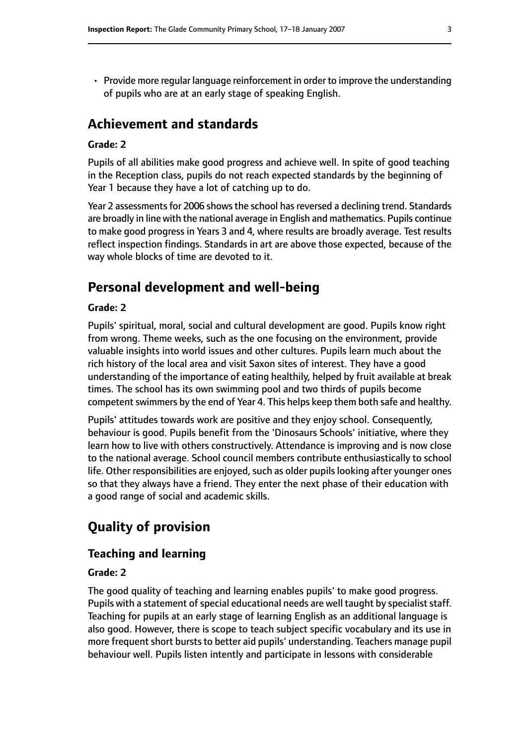• Provide more regular language reinforcement in order to improve the understanding of pupils who are at an early stage of speaking English.

# **Achievement and standards**

#### **Grade: 2**

Pupils of all abilities make good progress and achieve well. In spite of good teaching in the Reception class, pupils do not reach expected standards by the beginning of Year 1 because they have a lot of catching up to do.

Year 2 assessments for 2006 shows the school has reversed a declining trend. Standards are broadly in line with the national average in English and mathematics. Pupils continue to make good progress in Years 3 and 4, where results are broadly average. Test results reflect inspection findings. Standards in art are above those expected, because of the way whole blocks of time are devoted to it.

# **Personal development and well-being**

#### **Grade: 2**

Pupils' spiritual, moral, social and cultural development are good. Pupils know right from wrong. Theme weeks, such as the one focusing on the environment, provide valuable insights into world issues and other cultures. Pupils learn much about the rich history of the local area and visit Saxon sites of interest. They have a good understanding of the importance of eating healthily, helped by fruit available at break times. The school has its own swimming pool and two thirds of pupils become competent swimmers by the end of Year 4. This helps keep them both safe and healthy.

Pupils' attitudes towards work are positive and they enjoy school. Consequently, behaviour is good. Pupils benefit from the 'Dinosaurs Schools' initiative, where they learn how to live with others constructively. Attendance is improving and is now close to the national average. School council members contribute enthusiastically to school life. Other responsibilities are enjoyed, such as older pupils looking after younger ones so that they always have a friend. They enter the next phase of their education with a good range of social and academic skills.

# **Quality of provision**

### **Teaching and learning**

#### **Grade: 2**

The good quality of teaching and learning enables pupils' to make good progress. Pupils with a statement of special educational needs are well taught by specialist staff. Teaching for pupils at an early stage of learning English as an additional language is also good. However, there is scope to teach subject specific vocabulary and its use in more frequent short bursts to better aid pupils' understanding. Teachers manage pupil behaviour well. Pupils listen intently and participate in lessons with considerable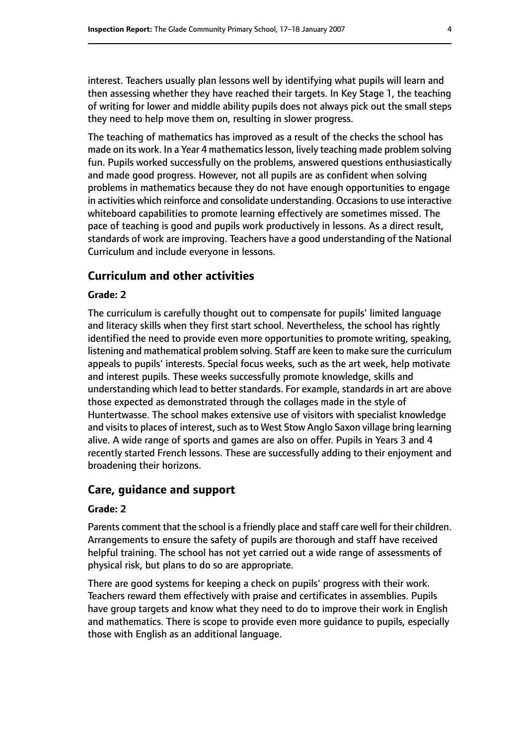interest. Teachers usually plan lessons well by identifying what pupils will learn and then assessing whether they have reached their targets. In Key Stage 1, the teaching of writing for lower and middle ability pupils does not always pick out the small steps they need to help move them on, resulting in slower progress.

The teaching of mathematics has improved as a result of the checks the school has made on its work. In a Year 4 mathematics lesson, lively teaching made problem solving fun. Pupils worked successfully on the problems, answered questions enthusiastically and made good progress. However, not all pupils are as confident when solving problems in mathematics because they do not have enough opportunities to engage in activities which reinforce and consolidate understanding. Occasions to use interactive whiteboard capabilities to promote learning effectively are sometimes missed. The pace of teaching is good and pupils work productively in lessons. As a direct result, standards of work are improving. Teachers have a good understanding of the National Curriculum and include everyone in lessons.

#### **Curriculum and other activities**

#### **Grade: 2**

The curriculum is carefully thought out to compensate for pupils' limited language and literacy skills when they first start school. Nevertheless, the school has rightly identified the need to provide even more opportunities to promote writing, speaking, listening and mathematical problem solving. Staff are keen to make sure the curriculum appeals to pupils' interests. Special focus weeks, such as the art week, help motivate and interest pupils. These weeks successfully promote knowledge, skills and understanding which lead to better standards. For example, standards in art are above those expected as demonstrated through the collages made in the style of Huntertwasse. The school makes extensive use of visitors with specialist knowledge and visits to places of interest, such as to West Stow Anglo Saxon village bring learning alive. A wide range of sports and games are also on offer. Pupils in Years 3 and 4 recently started French lessons. These are successfully adding to their enjoyment and broadening their horizons.

#### **Care, guidance and support**

#### **Grade: 2**

Parents comment that the school is a friendly place and staff care well for their children. Arrangements to ensure the safety of pupils are thorough and staff have received helpful training. The school has not yet carried out a wide range of assessments of physical risk, but plans to do so are appropriate.

There are good systems for keeping a check on pupils' progress with their work. Teachers reward them effectively with praise and certificates in assemblies. Pupils have group targets and know what they need to do to improve their work in English and mathematics. There is scope to provide even more guidance to pupils, especially those with English as an additional language.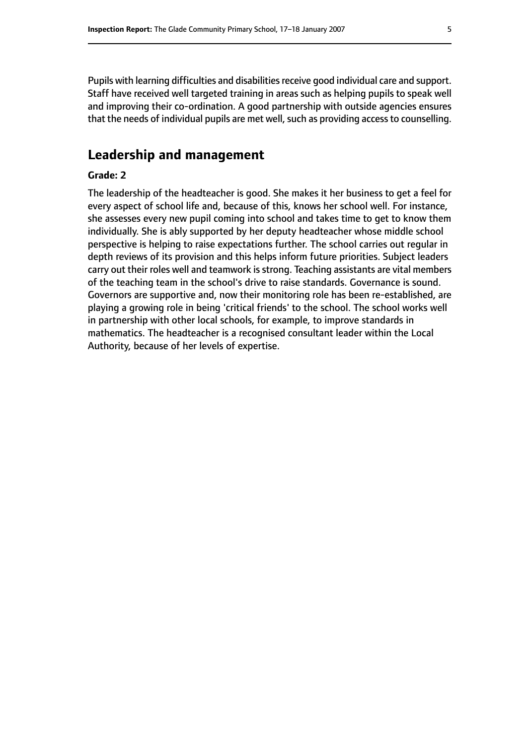Pupils with learning difficulties and disabilities receive good individual care and support. Staff have received well targeted training in areas such as helping pupils to speak well and improving their co-ordination. A good partnership with outside agencies ensures that the needs of individual pupils are met well, such as providing access to counselling.

## **Leadership and management**

#### **Grade: 2**

The leadership of the headteacher is good. She makes it her business to get a feel for every aspect of school life and, because of this, knows her school well. For instance, she assesses every new pupil coming into school and takes time to get to know them individually. She is ably supported by her deputy headteacher whose middle school perspective is helping to raise expectations further. The school carries out regular in depth reviews of its provision and this helps inform future priorities. Subject leaders carry out their roles well and teamwork is strong. Teaching assistants are vital members of the teaching team in the school's drive to raise standards. Governance is sound. Governors are supportive and, now their monitoring role has been re-established, are playing a growing role in being 'critical friends' to the school. The school works well in partnership with other local schools, for example, to improve standards in mathematics. The headteacher is a recognised consultant leader within the Local Authority, because of her levels of expertise.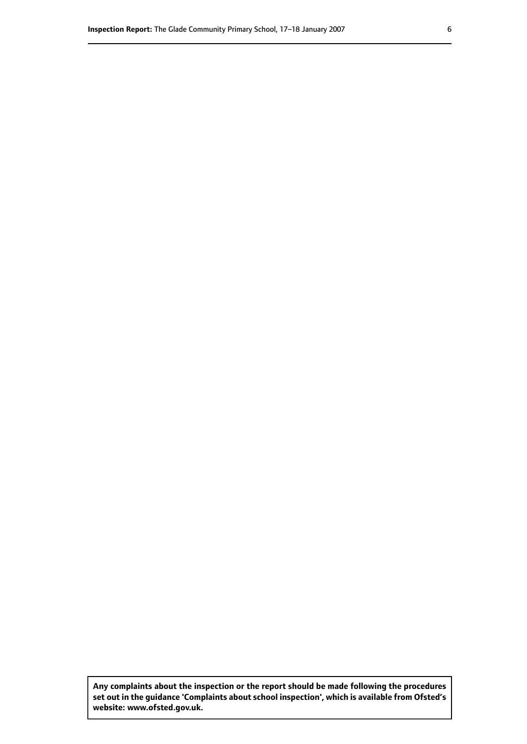**Any complaints about the inspection or the report should be made following the procedures set out inthe guidance 'Complaints about school inspection', whichis available from Ofsted's website: www.ofsted.gov.uk.**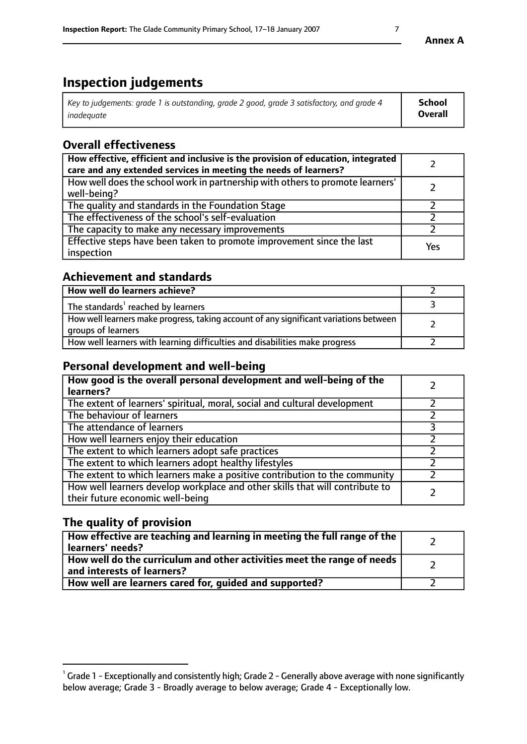# **Inspection judgements**

| Key to judgements: grade 1 is outstanding, grade 2 good, grade 3 satisfactory, and grade 4 | <b>School</b>  |
|--------------------------------------------------------------------------------------------|----------------|
| inadeauate                                                                                 | <b>Overall</b> |

# **Overall effectiveness**

| How effective, efficient and inclusive is the provision of education, integrated<br>care and any extended services in meeting the needs of learners? |     |
|------------------------------------------------------------------------------------------------------------------------------------------------------|-----|
| How well does the school work in partnership with others to promote learners'<br>well-being?                                                         |     |
| The quality and standards in the Foundation Stage                                                                                                    |     |
| The effectiveness of the school's self-evaluation                                                                                                    |     |
| The capacity to make any necessary improvements                                                                                                      |     |
| Effective steps have been taken to promote improvement since the last<br>inspection                                                                  | Yes |

## **Achievement and standards**

| How well do learners achieve?                                                                               |  |
|-------------------------------------------------------------------------------------------------------------|--|
| The standards <sup>1</sup> reached by learners                                                              |  |
| How well learners make progress, taking account of any significant variations between<br>groups of learners |  |
| How well learners with learning difficulties and disabilities make progress                                 |  |

## **Personal development and well-being**

| How good is the overall personal development and well-being of the<br>learners?                                  |  |
|------------------------------------------------------------------------------------------------------------------|--|
| The extent of learners' spiritual, moral, social and cultural development                                        |  |
| The behaviour of learners                                                                                        |  |
| The attendance of learners                                                                                       |  |
| How well learners enjoy their education                                                                          |  |
| The extent to which learners adopt safe practices                                                                |  |
| The extent to which learners adopt healthy lifestyles                                                            |  |
| The extent to which learners make a positive contribution to the community                                       |  |
| How well learners develop workplace and other skills that will contribute to<br>their future economic well-being |  |

## **The quality of provision**

| How effective are teaching and learning in meeting the full range of the<br>  learners' needs?                      |  |
|---------------------------------------------------------------------------------------------------------------------|--|
| $\mid$ How well do the curriculum and other activities meet the range of needs<br>$\mid$ and interests of learners? |  |
| How well are learners cared for, guided and supported?                                                              |  |

 $^1$  Grade 1 - Exceptionally and consistently high; Grade 2 - Generally above average with none significantly below average; Grade 3 - Broadly average to below average; Grade 4 - Exceptionally low.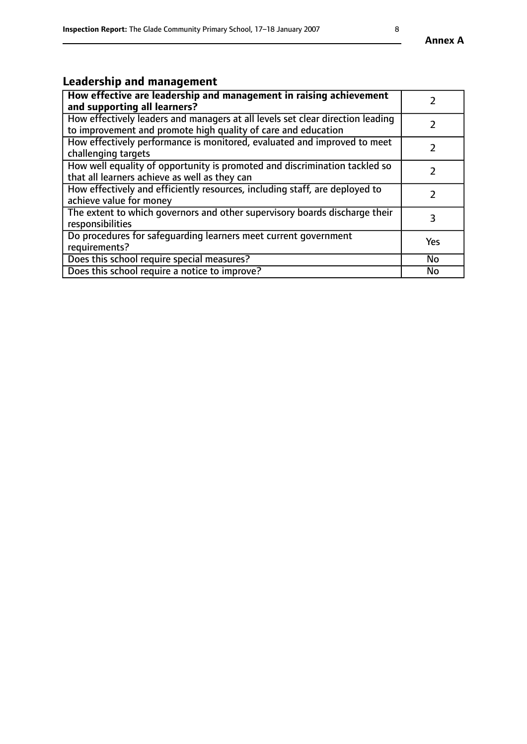# **Leadership and management**

| How effective are leadership and management in raising achievement<br>and supporting all learners?                                              |               |
|-------------------------------------------------------------------------------------------------------------------------------------------------|---------------|
| How effectively leaders and managers at all levels set clear direction leading<br>to improvement and promote high quality of care and education |               |
| How effectively performance is monitored, evaluated and improved to meet<br>challenging targets                                                 | $\mathcal{L}$ |
| How well equality of opportunity is promoted and discrimination tackled so<br>that all learners achieve as well as they can                     |               |
| How effectively and efficiently resources, including staff, are deployed to<br>achieve value for money                                          | $\mathcal{P}$ |
| The extent to which governors and other supervisory boards discharge their<br>responsibilities                                                  | 3             |
| Do procedures for safequarding learners meet current government<br>requirements?                                                                | Yes           |
| Does this school require special measures?                                                                                                      | No            |
| Does this school require a notice to improve?                                                                                                   | <b>No</b>     |